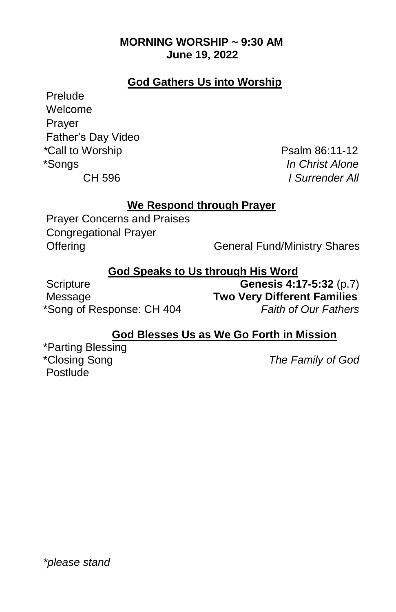## **MORNING WORSHIP ~ 9:30 AM June 19, 2022**

## **God Gathers Us into Worship**

Prelude Welcome Prayer Father's Day Video *\*Call to Worship* **Psalm 86:11-12** \*Songs *In Christ Alone*

CH 596 *I Surrender All*

## **We Respond through Prayer**

Prayer Concerns and Praises Congregational Prayer

Offering General Fund/Ministry Shares

## **God Speaks to Us through His Word**

Scripture **Genesis 4:17-5:32** (p.7) Message **Two Very Different Families** \*Song of Response: CH 404 *Faith of Our Fathers* 

## **God Blesses Us as We Go Forth in Mission**

\*Parting Blessing<br>\*Closing Song Postlude

**The Family of God**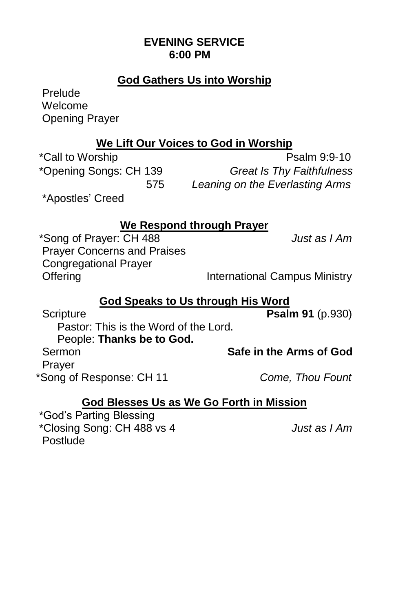## **EVENING SERVICE 6:00 PM**

## **God Gathers Us into Worship**

Prelude Welcome Opening Prayer

## **We Lift Our Voices to God in Worship**

\*Call to Worship **Psalm 9:9-10** \*Opening Songs: CH 139 *Great Is Thy Faithfulness* 575 *Leaning on the Everlasting Arms*

\*Apostles' Creed

## **We Respond through Prayer**

\*Song of Prayer: CH 488 *Just as I Am*  Prayer Concerns and Praises Congregational Prayer Offering **International Campus Ministry** 

# **God Speaks to Us through His Word**

Scripture **Psalm 91** (p.930) Pastor: This is the Word of the Lord. People: **Thanks be to God.** Sermon **Safe in the Arms of God**  Prayer \*Song of Response: CH 11 *Come, Thou Fount* 

## **God Blesses Us as We Go Forth in Mission**

\*God's Parting Blessing \*Closing Song: CH 488 vs 4 *Just as I Am* Postlude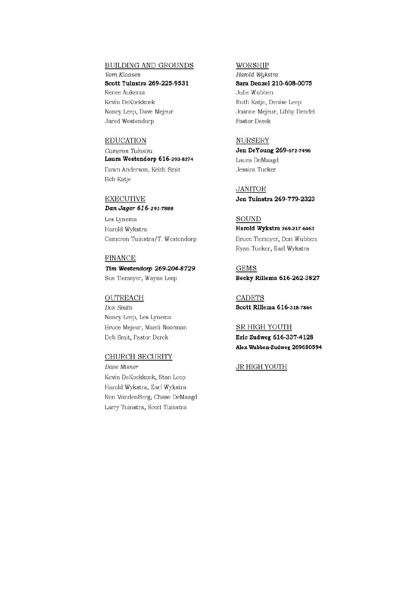#### **BUILDING AND GROUNDS**

Vern Klaasen Scott Tuinstra 269-225-9531 Renee Aukema Kevin DeKoekkoek Nancy Leep, Dave Mejeur Jared Westendorp

#### **EDUCATION**

Cameron Tuinstra Laura Westendorp 616-293-8274 Dawn Anderson, Keith Smit Bob Katje

**EXECUTIVE** Dan Jager 616-291-7888

Les Lynema Harold Wykstra Cameron Tuinstra/T. Westendorp

#### **FINANCE**

Tim Westendorp 269-204-8729 Sue Tiemeyer, Wayne Leep

#### OUTREACH

Don Smith Nancy Leep, Les Lynema Bruce Mejeur, Mardi Noorman Deb Smit, Pastor Derek

#### CHURCH SECURITY

Dave Misner Kevin DeKoekkoek, Stan Leep Harold Wykstra, Earl Wykstra Ron VandenBerg, Chase DeMaagd Larry Tuinstra, Scott Tuinstra

#### WORSHIP

Harold Wukstra Sara Denzel 210-608-0075 Julie Wubben Ruth Katje, Denise Leep Joanne Mejeur, Libby Dendel Pastor Derek

#### **NURSERY**

Jen DeYoung 269-672-7496 Laura DeMaagd Jessica Tucker

**JANITOR** Jen Tuinstra 269-779-2323

### **SOUND** Harold Wykstra 269-217-6463 Bruce Tiemeyer, Don Wubben Ryan Tucker, Earl Wykstra

**GEMS** Becky Rillema 616-262-3827

**CADETS** Scott Rillema 616-318-7864

#### **SR HIGH YOUTH**

Eric Zudweg 616-337-4128 Alex Wubben-Zudweg 269680594

#### **JR HIGH YOUTH**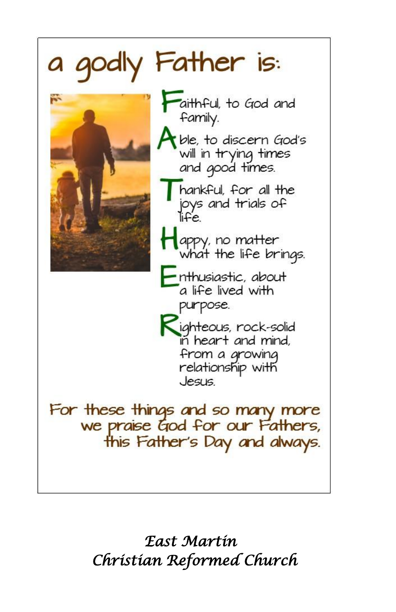

*East Martin Christian Reformed Church*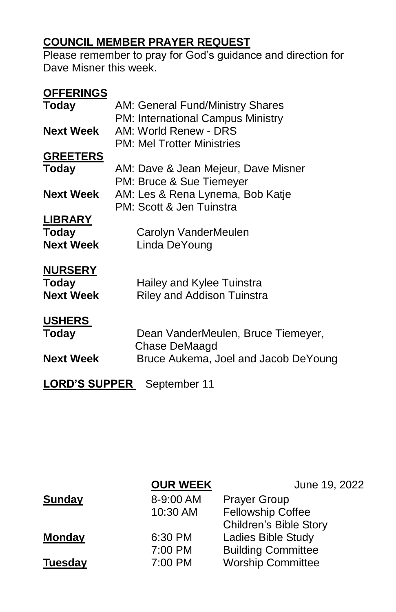## **COUNCIL MEMBER PRAYER REQUEST**

Please remember to pray for God's guidance and direction for Dave Misner this week.

| <b>OFFERINGS</b>                  |                                      |  |
|-----------------------------------|--------------------------------------|--|
| Today                             | AM: General Fund/Ministry Shares     |  |
|                                   | PM: International Campus Ministry    |  |
| <b>Next Week</b>                  | AM: World Renew - DRS                |  |
|                                   | <b>PM: Mel Trotter Ministries</b>    |  |
| <b>GREETERS</b>                   |                                      |  |
| Today                             | AM: Dave & Jean Mejeur, Dave Misner  |  |
|                                   | PM: Bruce & Sue Tiemeyer             |  |
| <b>Next Week</b>                  | AM: Les & Rena Lynema, Bob Katje     |  |
|                                   | PM: Scott & Jen Tuinstra             |  |
| <b>LIBRARY</b>                    |                                      |  |
| <b>Today</b>                      | Carolyn VanderMeulen                 |  |
| <b>Next Week</b>                  | Linda DeYoung                        |  |
| <b>NURSERY</b>                    |                                      |  |
| Today                             | Hailey and Kylee Tuinstra            |  |
| <b>Next Week</b>                  | <b>Riley and Addison Tuinstra</b>    |  |
|                                   |                                      |  |
| <b>USHERS</b>                     |                                      |  |
| Today                             | Dean VanderMeulen, Bruce Tiemeyer,   |  |
|                                   | Chase DeMaagd                        |  |
| <b>Next Week</b>                  | Bruce Aukema, Joel and Jacob DeYoung |  |
|                                   |                                      |  |
| <b>LORD'S SUPPER</b> September 11 |                                      |  |

|                | <b>OUR WEEK</b> | June 19, 2022                 |
|----------------|-----------------|-------------------------------|
| <b>Sunday</b>  | 8-9:00 AM       | <b>Prayer Group</b>           |
|                | 10:30 AM        | <b>Fellowship Coffee</b>      |
|                |                 | <b>Children's Bible Story</b> |
| <b>Monday</b>  | 6:30 PM         | Ladies Bible Study            |
|                | 7:00 PM         | <b>Building Committee</b>     |
| <b>Tuesday</b> | 7:00 PM         | <b>Worship Committee</b>      |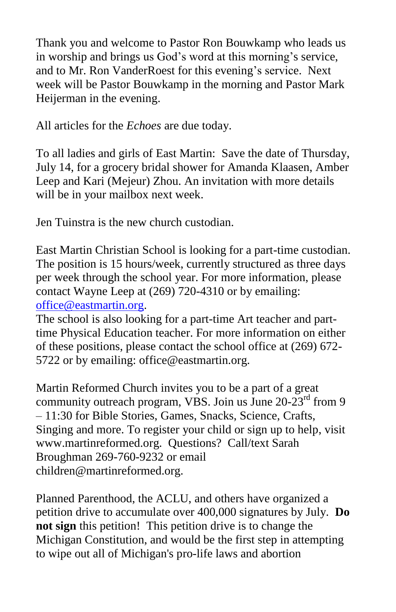Thank you and welcome to Pastor Ron Bouwkamp who leads us in worship and brings us God's word at this morning's service, and to Mr. Ron VanderRoest for this evening's service. Next week will be Pastor Bouwkamp in the morning and Pastor Mark Heijerman in the evening.

All articles for the *Echoes* are due today.

To all ladies and girls of East Martin: Save the date of Thursday, July 14, for a grocery bridal shower for Amanda Klaasen, Amber Leep and Kari (Mejeur) Zhou. An invitation with more details will be in your mailbox next week.

Jen Tuinstra is the new church custodian.

East Martin Christian School is looking for a part-time custodian. The position is 15 hours/week, currently structured as three days per week through the school year. For more information, please contact Wayne Leep at (269) 720-4310 or by emailing: [office@eastmartin.org.](mailto:office@eastmartin.org)

The school is also looking for a part-time Art teacher and parttime Physical Education teacher. For more information on either of these positions, please contact the school office at (269) 672- 5722 or by emailing: office@eastmartin.org.

Martin Reformed Church invites you to be a part of a great community outreach program, VBS. Join us June  $20-23<sup>rd</sup>$  from 9 – 11:30 for Bible Stories, Games, Snacks, Science, Crafts, Singing and more. To register your child or sign up to help, visit www.martinreformed.org. Questions? Call/text Sarah Broughman 269-760-9232 or email children@martinreformed.org.

Planned Parenthood, the ACLU, and others have organized a petition drive to accumulate over 400,000 signatures by July. **Do not sign** this petition! This petition drive is to change the Michigan Constitution, and would be the first step in attempting to wipe out all of Michigan's pro-life laws and abortion